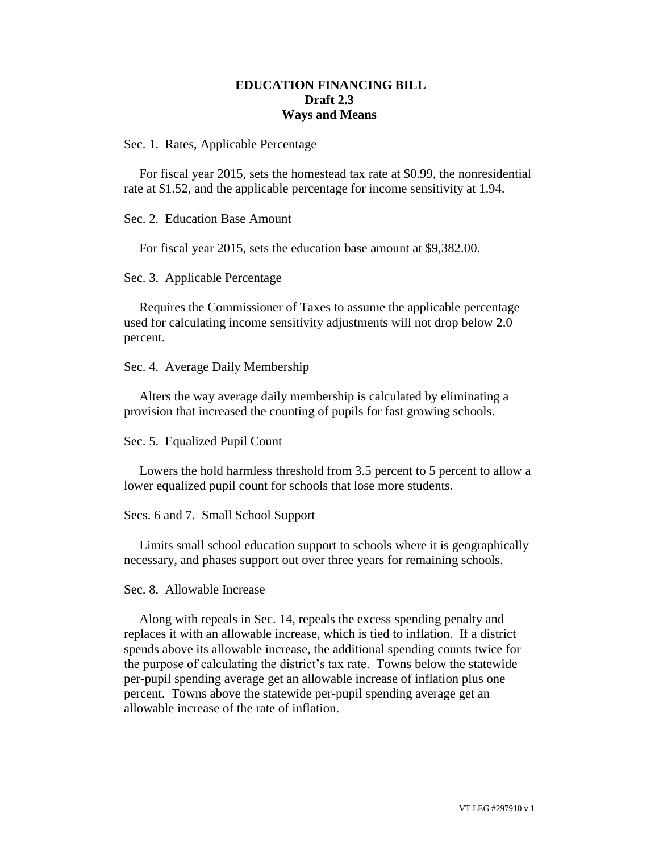## **EDUCATION FINANCING BILL Draft 2.3 Ways and Means**

Sec. 1. Rates, Applicable Percentage

For fiscal year 2015, sets the homestead tax rate at \$0.99, the nonresidential rate at \$1.52, and the applicable percentage for income sensitivity at 1.94.

Sec. 2. Education Base Amount

For fiscal year 2015, sets the education base amount at \$9,382.00.

Sec. 3. Applicable Percentage

Requires the Commissioner of Taxes to assume the applicable percentage used for calculating income sensitivity adjustments will not drop below 2.0 percent.

Sec. 4. Average Daily Membership

Alters the way average daily membership is calculated by eliminating a provision that increased the counting of pupils for fast growing schools.

Sec. 5. Equalized Pupil Count

Lowers the hold harmless threshold from 3.5 percent to 5 percent to allow a lower equalized pupil count for schools that lose more students.

Secs. 6 and 7. Small School Support

Limits small school education support to schools where it is geographically necessary, and phases support out over three years for remaining schools.

Sec. 8. Allowable Increase

Along with repeals in Sec. 14, repeals the excess spending penalty and replaces it with an allowable increase, which is tied to inflation. If a district spends above its allowable increase, the additional spending counts twice for the purpose of calculating the district's tax rate. Towns below the statewide per-pupil spending average get an allowable increase of inflation plus one percent. Towns above the statewide per-pupil spending average get an allowable increase of the rate of inflation.